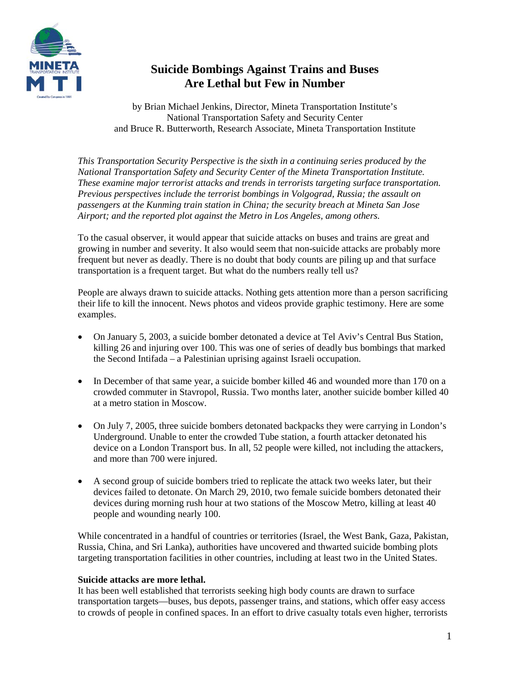

# **Suicide Bombings Against Trains and Buses Are Lethal but Few in Number**

by Brian Michael Jenkins, Director, Mineta Transportation Institute's National Transportation Safety and Security Center and Bruce R. Butterworth, Research Associate, Mineta Transportation Institute

*This Transportation Security Perspective is the sixth in a continuing series produced by the National Transportation Safety and Security Center of the Mineta Transportation Institute. These examine major terrorist attacks and trends in terrorists targeting surface transportation. Previous perspectives include the terrorist bombings in Volgograd, Russia; the assault on passengers at the Kunming train station in China; the security breach at Mineta San Jose Airport; and the reported plot against the Metro in Los Angeles, among others.*

To the casual observer, it would appear that suicide attacks on buses and trains are great and growing in number and severity. It also would seem that non-suicide attacks are probably more frequent but never as deadly. There is no doubt that body counts are piling up and that surface transportation is a frequent target. But what do the numbers really tell us?

People are always drawn to suicide attacks. Nothing gets attention more than a person sacrificing their life to kill the innocent. News photos and videos provide graphic testimony. Here are some examples.

- On January 5, 2003, a suicide bomber detonated a device at Tel Aviv's Central Bus Station, killing 26 and injuring over 100. This was one of series of deadly bus bombings that marked the Second Intifada – a Palestinian uprising against Israeli occupation.
- In December of that same year, a suicide bomber killed 46 and wounded more than 170 on a crowded commuter in Stavropol, Russia. Two months later, another suicide bomber killed 40 at a metro station in Moscow.
- On July 7, 2005, three suicide bombers detonated backpacks they were carrying in London's Underground. Unable to enter the crowded Tube station, a fourth attacker detonated his device on a London Transport bus. In all, 52 people were killed, not including the attackers, and more than 700 were injured.
- A second group of suicide bombers tried to replicate the attack two weeks later, but their devices failed to detonate. On March 29, 2010, two female suicide bombers detonated their devices during morning rush hour at two stations of the Moscow Metro, killing at least 40 people and wounding nearly 100.

While concentrated in a handful of countries or territories (Israel, the West Bank, Gaza, Pakistan, Russia, China, and Sri Lanka), authorities have uncovered and thwarted suicide bombing plots targeting transportation facilities in other countries, including at least two in the United States.

# **Suicide attacks are more lethal.**

It has been well established that terrorists seeking high body counts are drawn to surface transportation targets—buses, bus depots, passenger trains, and stations, which offer easy access to crowds of people in confined spaces. In an effort to drive casualty totals even higher, terrorists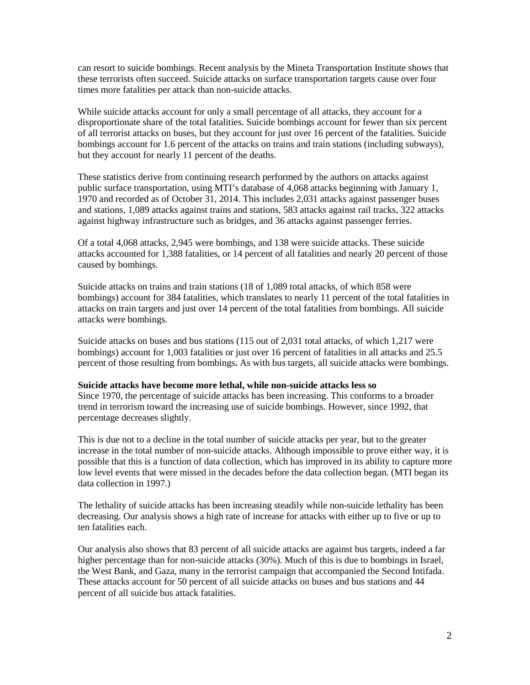can resort to suicide bombings. Recent analysis by the Mineta Transportation Institute shows that these terrorists often succeed. Suicide attacks on surface transportation targets cause over four times more fatalities per attack than non-suicide attacks.

While suicide attacks account for only a small percentage of all attacks, they account for a disproportionate share of the total fatalities. Suicide bombings account for fewer than six percent of all terrorist attacks on buses, but they account for just over 16 percent of the fatalities. Suicide bombings account for 1.6 percent of the attacks on trains and train stations (including subways), but they account for nearly 11 percent of the deaths.

These statistics derive from continuing research performed by the authors on attacks against public surface transportation, using MTI's database of 4,068 attacks beginning with January 1, 1970 and recorded as of October 31, 2014. This includes 2,031 attacks against passenger buses and stations, 1,089 attacks against trains and stations, 583 attacks against rail tracks, 322 attacks against highway infrastructure such as bridges, and 36 attacks against passenger ferries.

Of a total 4,068 attacks, 2,945 were bombings, and 138 were suicide attacks. These suicide attacks accounted for 1,388 fatalities, or 14 percent of all fatalities and nearly 20 percent of those caused by bombings.

Suicide attacks on trains and train stations (18 of 1,089 total attacks, of which 858 were bombings) account for 384 fatalities, which translates to nearly 11 percent of the total fatalities in attacks on train targets and just over 14 percent of the total fatalities from bombings. All suicide attacks were bombings.

Suicide attacks on buses and bus stations (115 out of 2,031 total attacks, of which 1,217 were bombings) account for 1,003 fatalities or just over 16 percent of fatalities in all attacks and 25.5 percent of those resulting from bombings**.** As with bus targets, all suicide attacks were bombings.

#### **Suicide attacks have become more lethal, while non-suicide attacks less so**

Since 1970, the percentage of suicide attacks has been increasing. This conforms to a broader trend in terrorism toward the increasing use of suicide bombings. However, since 1992, that percentage decreases slightly.

This is due not to a decline in the total number of suicide attacks per year, but to the greater increase in the total number of non-suicide attacks. Although impossible to prove either way, it is possible that this is a function of data collection, which has improved in its ability to capture more low level events that were missed in the decades before the data collection began. (MTI began its data collection in 1997.)

The lethality of suicide attacks has been increasing steadily while non-suicide lethality has been decreasing. Our analysis shows a high rate of increase for attacks with either up to five or up to ten fatalities each.

Our analysis also shows that 83 percent of all suicide attacks are against bus targets, indeed a far higher percentage than for non-suicide attacks (30%). Much of this is due to bombings in Israel, the West Bank, and Gaza, many in the terrorist campaign that accompanied the Second Intifada. These attacks account for 50 percent of all suicide attacks on buses and bus stations and 44 percent of all suicide bus attack fatalities.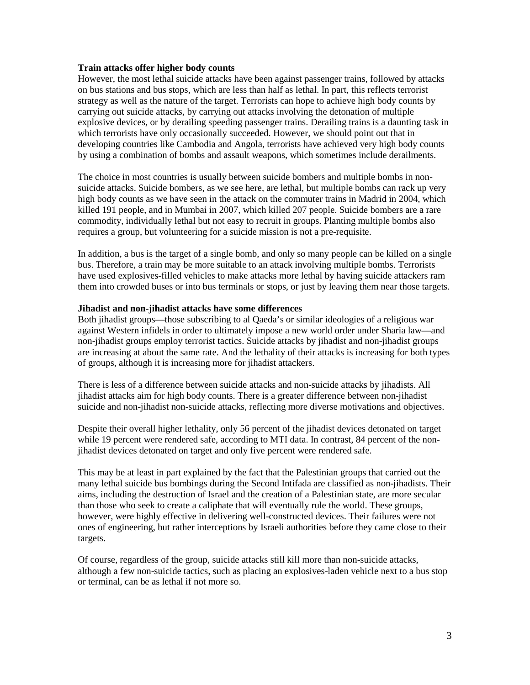#### **Train attacks offer higher body counts**

However, the most lethal suicide attacks have been against passenger trains, followed by attacks on bus stations and bus stops, which are less than half as lethal. In part, this reflects terrorist strategy as well as the nature of the target. Terrorists can hope to achieve high body counts by carrying out suicide attacks, by carrying out attacks involving the detonation of multiple explosive devices, or by derailing speeding passenger trains. Derailing trains is a daunting task in which terrorists have only occasionally succeeded. However, we should point out that in developing countries like Cambodia and Angola, terrorists have achieved very high body counts by using a combination of bombs and assault weapons, which sometimes include derailments.

The choice in most countries is usually between suicide bombers and multiple bombs in nonsuicide attacks. Suicide bombers, as we see here, are lethal, but multiple bombs can rack up very high body counts as we have seen in the attack on the commuter trains in Madrid in 2004, which killed 191 people, and in Mumbai in 2007, which killed 207 people. Suicide bombers are a rare commodity, individually lethal but not easy to recruit in groups. Planting multiple bombs also requires a group, but volunteering for a suicide mission is not a pre-requisite.

In addition, a bus is the target of a single bomb, and only so many people can be killed on a single bus. Therefore, a train may be more suitable to an attack involving multiple bombs. Terrorists have used explosives-filled vehicles to make attacks more lethal by having suicide attackers ram them into crowded buses or into bus terminals or stops, or just by leaving them near those targets.

#### **Jihadist and non-jihadist attacks have some differences**

Both jihadist groups—those subscribing to al Qaeda's or similar ideologies of a religious war against Western infidels in order to ultimately impose a new world order under Sharia law—and non-jihadist groups employ terrorist tactics. Suicide attacks by jihadist and non-jihadist groups are increasing at about the same rate. And the lethality of their attacks is increasing for both types of groups, although it is increasing more for jihadist attackers.

There is less of a difference between suicide attacks and non-suicide attacks by jihadists. All jihadist attacks aim for high body counts. There is a greater difference between non-jihadist suicide and non-jihadist non-suicide attacks, reflecting more diverse motivations and objectives.

Despite their overall higher lethality, only 56 percent of the jihadist devices detonated on target while 19 percent were rendered safe, according to MTI data. In contrast, 84 percent of the nonjihadist devices detonated on target and only five percent were rendered safe.

This may be at least in part explained by the fact that the Palestinian groups that carried out the many lethal suicide bus bombings during the Second Intifada are classified as non-jihadists. Their aims, including the destruction of Israel and the creation of a Palestinian state, are more secular than those who seek to create a caliphate that will eventually rule the world. These groups, however, were highly effective in delivering well-constructed devices. Their failures were not ones of engineering, but rather interceptions by Israeli authorities before they came close to their targets.

Of course, regardless of the group, suicide attacks still kill more than non-suicide attacks, although a few non-suicide tactics, such as placing an explosives-laden vehicle next to a bus stop or terminal, can be as lethal if not more so.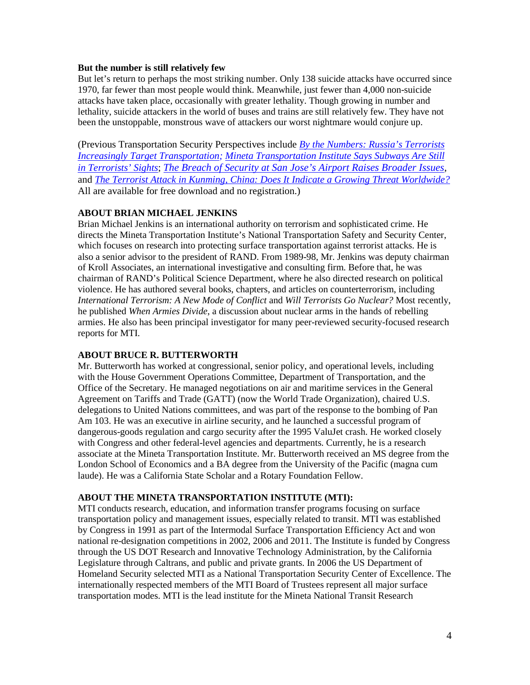#### **But the number is still relatively few**

But let's return to perhaps the most striking number. Only 138 suicide attacks have occurred since 1970, far fewer than most people would think. Meanwhile, just fewer than 4,000 non-suicide attacks have taken place, occasionally with greater lethality. Though growing in number and lethality, suicide attackers in the world of buses and trains are still relatively few. They have not been the unstoppable, monstrous wave of attackers our worst nightmare would conjure up.

(Previous Transportation Security Perspectives include *[By the Numbers: Russia's Terrorists](http://transweb.sjsu.edu/PDFs/research/russian-terrorists-target-transportation.pdf)  [Increasingly Target Transportation;](http://transweb.sjsu.edu/PDFs/research/russian-terrorists-target-transportation.pdf) [Mineta Transportation Institute Says Subways Are Still](http://transweb.sjsu.edu/PDFs/research/LA-subways-in-terrorist-sights-jenkins-perspective.pdf)  [in Terrorists' Sights](http://transweb.sjsu.edu/PDFs/research/LA-subways-in-terrorist-sights-jenkins-perspective.pdf)*; *[The Breach of Security at San Jose's Airport Raises Broader Issues,](http://transweb.sjsu.edu/PDFs/research/security-breach-san-jose-airport.pdf)*  and *[The Terrorist Attack in Kunming, China: Does It Indicate a Growing Threat Worldwide?](http://transweb.sjsu.edu/PDFs/research/kunming-china-terrorist-threat-jenkins.pdf)* All are available for free download and no registration.)

# **ABOUT BRIAN MICHAEL JENKINS**

Brian Michael Jenkins is an international authority on terrorism and sophisticated crime. He directs the Mineta Transportation Institute's National Transportation Safety and Security Center, which focuses on research into protecting surface transportation against terrorist attacks. He is also a senior advisor to the president of RAND. From 1989-98, Mr. Jenkins was deputy chairman of Kroll Associates, an international investigative and consulting firm. Before that, he was chairman of RAND's Political Science Department, where he also directed research on political violence. He has authored several books, chapters, and articles on counterterrorism, including *International Terrorism: A New Mode of Conflict* and *Will Terrorists Go Nuclear?* Most recently, he published *When Armies Divide*, a discussion about nuclear arms in the hands of rebelling armies. He also has been principal investigator for many peer-reviewed security-focused research reports for MTI.

# **ABOUT BRUCE R. BUTTERWORTH**

Mr. Butterworth has worked at congressional, senior policy, and operational levels, including with the House Government Operations Committee, Department of Transportation, and the Office of the Secretary. He managed negotiations on air and maritime services in the General Agreement on Tariffs and Trade (GATT) (now the World Trade Organization), chaired U.S. delegations to United Nations committees, and was part of the response to the bombing of Pan Am 103. He was an executive in airline security, and he launched a successful program of dangerous-goods regulation and cargo security after the 1995 ValuJet crash. He worked closely with Congress and other federal-level agencies and departments. Currently, he is a research associate at the Mineta Transportation Institute. Mr. Butterworth received an MS degree from the London School of Economics and a BA degree from the University of the Pacific (magna cum laude). He was a California State Scholar and a Rotary Foundation Fellow.

# **ABOUT THE MINETA TRANSPORTATION INSTITUTE (MTI):**

MTI conducts research, education, and information transfer programs focusing on surface transportation policy and management issues, especially related to transit. MTI was established by Congress in 1991 as part of the Intermodal Surface Transportation Efficiency Act and won national re-designation competitions in 2002, 2006 and 2011. The Institute is funded by Congress through the US DOT Research and Innovative Technology Administration, by the California Legislature through Caltrans, and public and private grants. In 2006 the US Department of Homeland Security selected MTI as a National Transportation Security Center of Excellence. The internationally respected members of the MTI Board of Trustees represent all major surface transportation modes. MTI is the lead institute for the Mineta National Transit Research